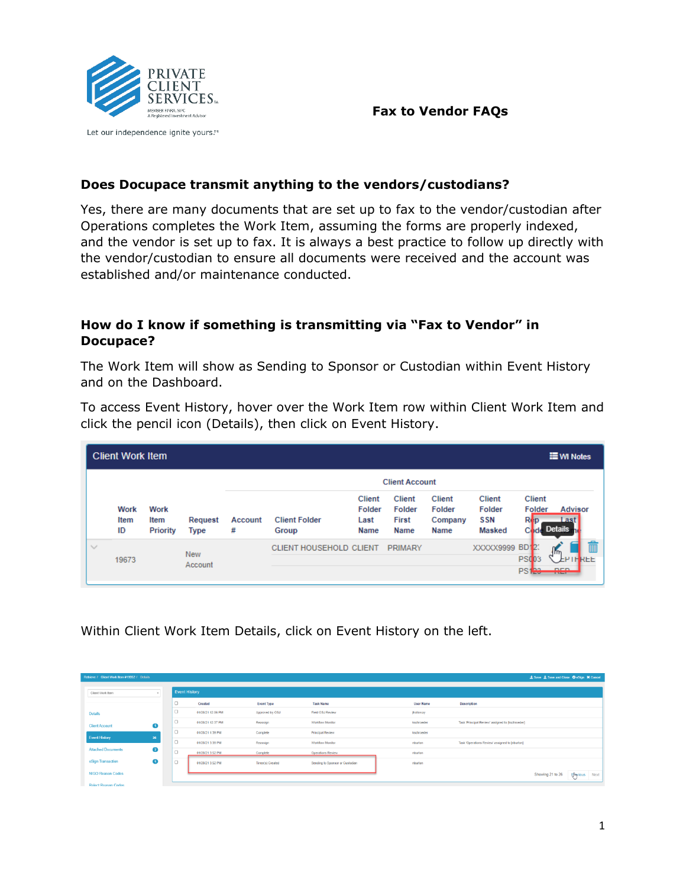



Let our independence ignite yours.™

### **Does Docupace transmit anything to the vendors/custodians?**

Yes, there are many documents that are set up to fax to the vendor/custodian after Operations completes the Work Item, assuming the forms are properly indexed, and the vendor is set up to fax. It is always a best practice to follow up directly with the vendor/custodian to ensure all documents were received and the account was established and/or maintenance conducted.

# **How do I know if something is transmitting via "Fax to Vendor" in Docupace?**

The Work Item will show as Sending to Sponsor or Custodian within Event History and on the Dashboard.

To access Event History, hover over the Work Item row within Client Work Item and click the pencil icon (Details), then click on Event History.

|            | <b>Client Work Item</b>   |                          |                        |              |                                |                                         |                                                 |                                            |                                                        |                                                | <b>E</b> WI Notes                              |
|------------|---------------------------|--------------------------|------------------------|--------------|--------------------------------|-----------------------------------------|-------------------------------------------------|--------------------------------------------|--------------------------------------------------------|------------------------------------------------|------------------------------------------------|
|            |                           |                          |                        |              |                                |                                         | <b>Client Account</b>                           |                                            |                                                        |                                                |                                                |
|            | <b>Work</b><br>Item<br>ID | Work<br>Item<br>Priority | Request<br><b>Type</b> | Account<br># | <b>Client Folder</b><br>Group  | <b>Client</b><br>Folder<br>Last<br>Name | <b>Client</b><br>Folder<br><b>First</b><br>Name | <b>Client</b><br>Folder<br>Company<br>Name | <b>Client</b><br>Folder<br><b>SSN</b><br><b>Masked</b> | <b>Client</b><br>Folder<br>Rep<br>Code         | <b>Advisor</b><br><b>ast</b><br><b>Details</b> |
| $\searrow$ | 19673                     |                          | <b>New</b><br>Account  |              | <b>CLIENT HOUSEHOLD CLIENT</b> |                                         | <b>PRIMARY</b>                                  |                                            | XXXXX9999                                              | <b>BD12</b><br><b>PS003</b><br>PS <sub>1</sub> | T<br>4 m<br>RFF<br>nen.<br><b>STATISTICS</b>   |

Within Client Work Item Details, click on Event History on the left.

| Retrieve / Client Work Item #19952 / Details |           |                      |                   |                   |                                 |                  |                                                  | <b>±</b> Save <b>±</b> Save and Close O eSign X Cancel |                      |
|----------------------------------------------|-----------|----------------------|-------------------|-------------------|---------------------------------|------------------|--------------------------------------------------|--------------------------------------------------------|----------------------|
| Client Work Item                             |           | <b>Event History</b> |                   |                   |                                 |                  |                                                  |                                                        |                      |
|                                              |           | $\Box$               | Created           | <b>Event Type</b> | <b>Task Name</b>                | <b>User Name</b> | <b>Description</b>                               |                                                        |                      |
| <b>Details</b>                               |           | $\Box$               | 01/28/21 12:06 PM | Approved by OSJ   | Field OSJ Review                | <i>jholloway</i> |                                                  |                                                        |                      |
| <b>Client Account</b>                        | $\bullet$ | $\Box$               | 01/28/21 12:37 PM | Reassign          | Workflow Monitor                | kschroeder       | Task 'Principal Review' assigned to [kschroeder] |                                                        |                      |
| <b>Event History</b>                         |           | $\Box$               | 01/28/21 1:39 PM  | Complete          | Principal Review                | kschroeder       |                                                  |                                                        |                      |
|                                              | 26        | $\Box$               | 01/28/21 3:39 PM  | Reassign          | Workflow Monitor                | nburton          | Task 'Operations Review' assigned to [nburton]   |                                                        |                      |
| <b>Attached Documents</b>                    | Ø         | $\sim$<br>۰          | 01/28/21 3:52 PM  | Complete          | Operations Review               | nburton          |                                                  |                                                        |                      |
| eSign Transaction                            | $\bullet$ | $\sim$<br>۰          | 01/28/21 3:52 PM  | Timer(s) Created  | Sending to Sponsor or Custodian | nburton          |                                                  |                                                        |                      |
| <b>NIGO Reason Codes</b>                     |           |                      |                   |                   |                                 |                  |                                                  | Showing 21 to 26                                       | <b>Playlous</b> Next |
| <b>Reject Reason Codes</b>                   |           |                      |                   |                   |                                 |                  |                                                  |                                                        |                      |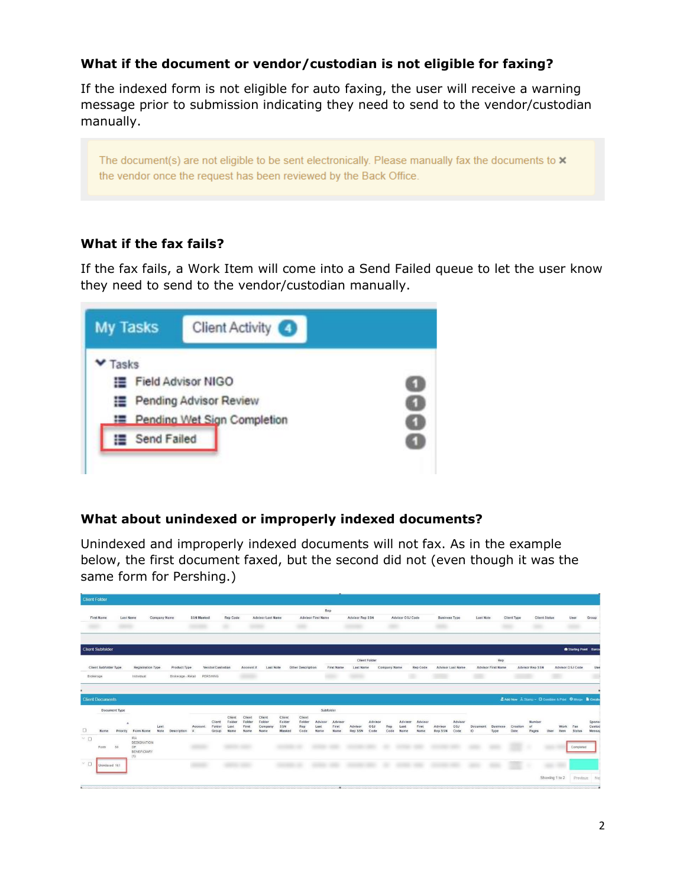## **What if the document or vendor/custodian is not eligible for faxing?**

If the indexed form is not eligible for auto faxing, the user will receive a warning message prior to submission indicating they need to send to the vendor/custodian manually.

The document(s) are not eligible to be sent electronically. Please manually fax the documents to  $\times$ the vendor once the request has been reviewed by the Back Office.

## **What if the fax fails?**

If the fax fails, a Work Item will come into a Send Failed queue to let the user know they need to send to the vendor/custodian manually.



### **What about unindexed or improperly indexed documents?**

Unindexed and improperly indexed documents will not fax. As in the example below, the first document faxed, but the second did not (even though it was the same form for Pershing.)

| <b>Client Folder</b>    |                       |                           |                                                       |              |                    |                   |                           |                                  |                                   |                                     |                                   |                                 |                                      |                          |                           |                        |                             |                                     |                    |                          |                       |                           |                  |                        |                |                     |                                                        |                           |
|-------------------------|-----------------------|---------------------------|-------------------------------------------------------|--------------|--------------------|-------------------|---------------------------|----------------------------------|-----------------------------------|-------------------------------------|-----------------------------------|---------------------------------|--------------------------------------|--------------------------|---------------------------|------------------------|-----------------------------|-------------------------------------|--------------------|--------------------------|-----------------------|---------------------------|------------------|------------------------|----------------|---------------------|--------------------------------------------------------|---------------------------|
|                         |                       |                           |                                                       |              |                    |                   |                           |                                  |                                   |                                     |                                   |                                 | Rep                                  |                          |                           |                        |                             |                                     |                    |                          |                       |                           |                  |                        |                |                     |                                                        |                           |
| <b>First Name</b>       |                       | Last Name                 |                                                       | Company Name |                    | <b>SSN Masked</b> |                           | Rep Code                         |                                   | <b>Advisor Last Name</b>            |                                   |                                 | <b>Advisor First Name</b>            |                          | <b>Advisor Rep SSN</b>    |                        |                             | Advisor OSJ Code                    |                    | <b>Business Type</b>     | Last Note             |                           | Client Type      | <b>Client Status</b>   |                | User                | Group                                                  |                           |
|                         |                       | <b>STATISTICS</b>         |                                                       |              |                    |                   |                           |                                  |                                   |                                     |                                   | œ                               |                                      |                          |                           |                        |                             |                                     |                    |                          |                       |                           |                  |                        |                |                     |                                                        |                           |
| <b>Client Subfolder</b> |                       |                           |                                                       |              |                    |                   |                           |                                  |                                   |                                     |                                   |                                 |                                      |                          |                           |                        |                             |                                     |                    |                          |                       |                           |                  |                        |                |                     | A Starting Point Barco                                 |                           |
|                         |                       |                           |                                                       |              |                    |                   |                           |                                  |                                   |                                     |                                   |                                 |                                      |                          | Client Folder             |                        |                             |                                     |                    |                          |                       | Rep                       |                  |                        |                |                     |                                                        |                           |
|                         | Client Subfolder Type |                           | <b>Registration Type</b>                              |              | Product Type       |                   | Vendor/Custodian          |                                  | Account#                          | Last Note                           |                                   | Other Description               |                                      | <b>First Name</b>        | Last Name                 |                        | Company Name                | Rep Code                            |                    | <b>Advisor Last Name</b> |                       | <b>Advisor First Name</b> |                  | <b>Advisor Rep SSN</b> |                | Advisor OSJ Code    |                                                        | Use                       |
| Brokerage               |                       |                           | Individual                                            |              | Brokerage - Retail |                   | PERSHING                  |                                  |                                   |                                     |                                   |                                 |                                      |                          | m                         |                        |                             | ×                                   |                    |                          |                       |                           |                  |                        | $\overline{1}$ |                     |                                                        |                           |
|                         |                       |                           |                                                       |              |                    |                   |                           |                                  |                                   |                                     |                                   |                                 |                                      |                          |                           |                        |                             |                                     |                    |                          |                       |                           |                  |                        |                |                     |                                                        |                           |
|                         |                       |                           |                                                       |              |                    |                   |                           |                                  |                                   |                                     |                                   |                                 |                                      |                          |                           |                        |                             |                                     |                    |                          |                       |                           |                  |                        |                |                     |                                                        |                           |
| <b>Client Documents</b> |                       |                           |                                                       |              |                    |                   |                           |                                  |                                   |                                     |                                   |                                 |                                      |                          |                           |                        |                             |                                     |                    |                          |                       |                           |                  |                        |                |                     | Z Add New A Stamp - O Combine & Print O Merge & Create |                           |
|                         | Name                  | Document Type<br>Priority | Form Name                                             | Last<br>Note | Description        | Account<br>-2     | Client<br>Folder<br>Group | Client<br>Folder<br>Last<br>Name | Client<br>Folder<br>First<br>Name | Client<br>Folder<br>Company<br>Name | Client<br>Folder<br>SSN<br>Masked | Client<br>Folder<br>Rep<br>Code | Subfolder<br>Advisor<br>Last<br>Name | Advisor<br>First<br>Name | Advisor<br><b>Rep SSN</b> | Advisor<br>OSJ<br>Code | Rep<br>Last<br>Code<br>Name | Advisor<br>Advisor<br>First<br>Name | Advisor<br>Rep SSN | Advisor<br>OSJ<br>Code   | <b>Document</b><br>ID | <b>Business</b><br>Type   | Creation<br>Date | Number<br>ot<br>Pages  | User           | Work<br><b>Item</b> | Fax<br><b>Status</b>                                   |                           |
| O<br>$\vee$ 0           | Form                  | 50                        | <b>IRA</b><br>DESIGNATION<br>OF<br>BENEFICIARY<br>(1) |              |                    |                   |                           |                                  |                                   |                                     |                                   |                                 |                                      |                          |                           |                        |                             |                                     |                    |                          |                       |                           |                  |                        |                |                     | Completed                                              |                           |
| $\times$ 0              | Unindexed 161         |                           |                                                       |              |                    |                   |                           |                                  |                                   |                                     |                                   |                                 |                                      |                          |                           |                        |                             |                                     |                    |                          |                       |                           |                  |                        |                |                     |                                                        | Sponse<br>Custod<br>Messa |